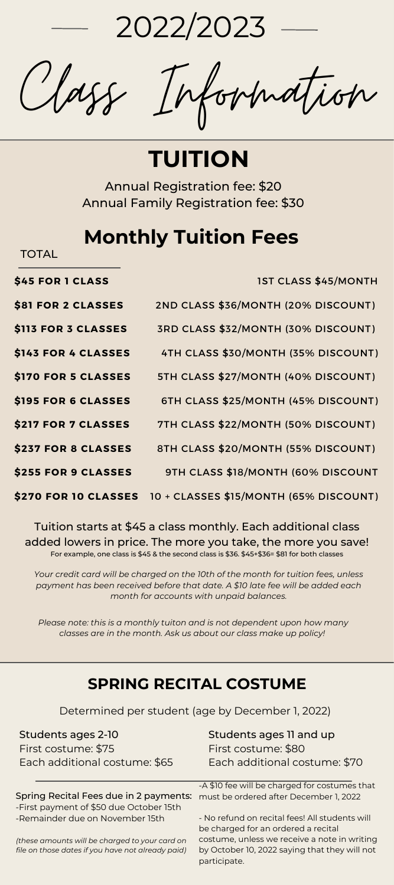2022/2023

**TOTAL** 

Class Information

**TUITION**

Annual Registration fee: \$20 Annual Family Registration fee: \$30

### **Monthly Tuition Fees**

| \$45 FOR 1 CLASS    | <b>IST CLASS \$45/MONTH</b>                                   |
|---------------------|---------------------------------------------------------------|
| \$81 FOR 2 CLASSES  | 2ND CLASS \$36/MONTH (20% DISCOUNT)                           |
| \$113 FOR 3 CLASSES | 3RD CLASS \$32/MONTH (30% DISCOUNT)                           |
| \$143 FOR 4 CLASSES | 4TH CLASS \$30/MONTH (35% DISCOUNT)                           |
| \$170 FOR 5 CLASSES | 5TH CLASS \$27/MONTH (40% DISCOUNT)                           |
| \$195 FOR 6 CLASSES | 6TH CLASS \$25/MONTH (45% DISCOUNT)                           |
| \$217 FOR 7 CLASSES | 7TH CLASS \$22/MONTH (50% DISCOUNT)                           |
| \$237 FOR 8 CLASSES | 8TH CLASS \$20/MONTH (55% DISCOUNT)                           |
| \$255 FOR 9 CLASSES | 9TH CLASS \$18/MONTH (60% DISCOUNT                            |
|                     | \$270 FOR 10 CLASSES $10 +$ CLASSES \$15/MONTH (65% DISCOUNT) |

Tuition starts at \$45 a class monthly. Each additional class added lowers in price. The more you take, the more you save! For example, one class is \$45 & the second class is \$36. \$45+\$36= \$81 for both classes

*Your credit card will be charged on the 10th of the month for tuition fees, unless payment has been received before that date. A \$10 late fee will be added each month for accounts with unpaid balances.*

*Please note: this is a monthly tuiton and is not dependent upon how many classes are in the month. Ask us about our class make up policy!*

### **SPRING RECITAL COSTUME**

Determined per student (age by December 1, 2022)

Students ages 2-10 First costume: \$75 Each additional costume: \$65

Spring Recital Fees due in 2 payments: -First payment of \$50 due October 15th -Remainder due on November 15th

*(these amounts will be charged to your card on file on those dates if you have not already paid)* Students ages 11 and up First costume: \$80 Each additional costume: \$70

-A \$10 fee will be charged for costumes that must be ordered after December 1, 2022

- No refund on recital fees! All students will be charged for an ordered a recital costume, unless we receive a note in writing by October 10, 2022 saying that they will not participate.